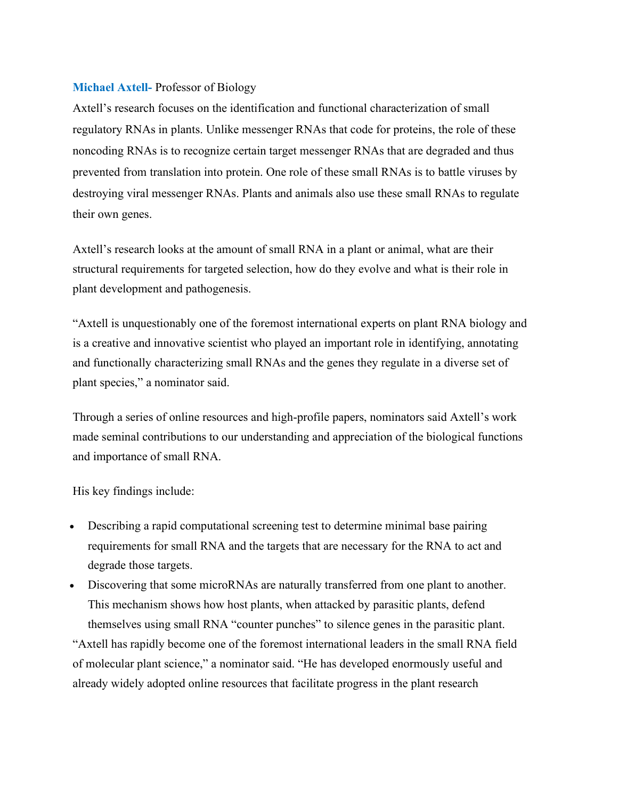## Michael Axtell- Professor of Biology

Axtell's research focuses on the identification and functional characterization of small regulatory RNAs in plants. Unlike messenger RNAs that code for proteins, the role of these noncoding RNAs is to recognize certain target messenger RNAs that are degraded and thus prevented from translation into protein. One role of these small RNAs is to battle viruses by destroying viral messenger RNAs. Plants and animals also use these small RNAs to regulate their own genes.

Axtell's research looks at the amount of small RNA in a plant or animal, what are their structural requirements for targeted selection, how do they evolve and what is their role in plant development and pathogenesis.

"Axtell is unquestionably one of the foremost international experts on plant RNA biology and is a creative and innovative scientist who played an important role in identifying, annotating and functionally characterizing small RNAs and the genes they regulate in a diverse set of plant species," a nominator said.

Through a series of online resources and high-profile papers, nominators said Axtell's work made seminal contributions to our understanding and appreciation of the biological functions and importance of small RNA.

His key findings include:

 Describing a rapid computational screening test to determine minimal base pairing requirements for small RNA and the targets that are necessary for the RNA to act and degrade those targets.

 Discovering that some microRNAs are naturally transferred from one plant to another. This mechanism shows how host plants, when attacked by parasitic plants, defend themselves using small RNA "counter punches" to silence genes in the parasitic plant. "Axtell has rapidly become one of the foremost international leaders in the small RNA field of molecular plant science," a nominator said. "He has developed enormously useful and already widely adopted online resources that facilitate progress in the plant research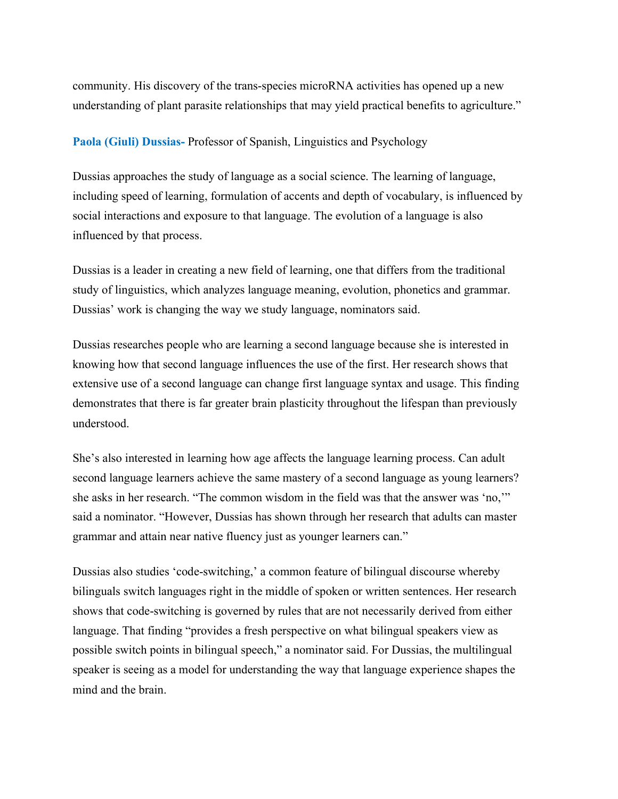community. His discovery of the trans-species microRNA activities has opened up a new understanding of plant parasite relationships that may yield practical benefits to agriculture."

## Paola (Giuli) Dussias- Professor of Spanish, Linguistics and Psychology

Dussias approaches the study of language as a social science. The learning of language, including speed of learning, formulation of accents and depth of vocabulary, is influenced by social interactions and exposure to that language. The evolution of a language is also influenced by that process.

Dussias is a leader in creating a new field of learning, one that differs from the traditional study of linguistics, which analyzes language meaning, evolution, phonetics and grammar. Dussias' work is changing the way we study language, nominators said.

Dussias researches people who are learning a second language because she is interested in knowing how that second language influences the use of the first. Her research shows that extensive use of a second language can change first language syntax and usage. This finding demonstrates that there is far greater brain plasticity throughout the lifespan than previously understood.

She's also interested in learning how age affects the language learning process. Can adult second language learners achieve the same mastery of a second language as young learners? she asks in her research. "The common wisdom in the field was that the answer was 'no,'" said a nominator. "However, Dussias has shown through her research that adults can master grammar and attain near native fluency just as younger learners can."

Dussias also studies 'code-switching,' a common feature of bilingual discourse whereby bilinguals switch languages right in the middle of spoken or written sentences. Her research shows that code-switching is governed by rules that are not necessarily derived from either language. That finding "provides a fresh perspective on what bilingual speakers view as possible switch points in bilingual speech," a nominator said. For Dussias, the multilingual speaker is seeing as a model for understanding the way that language experience shapes the mind and the brain.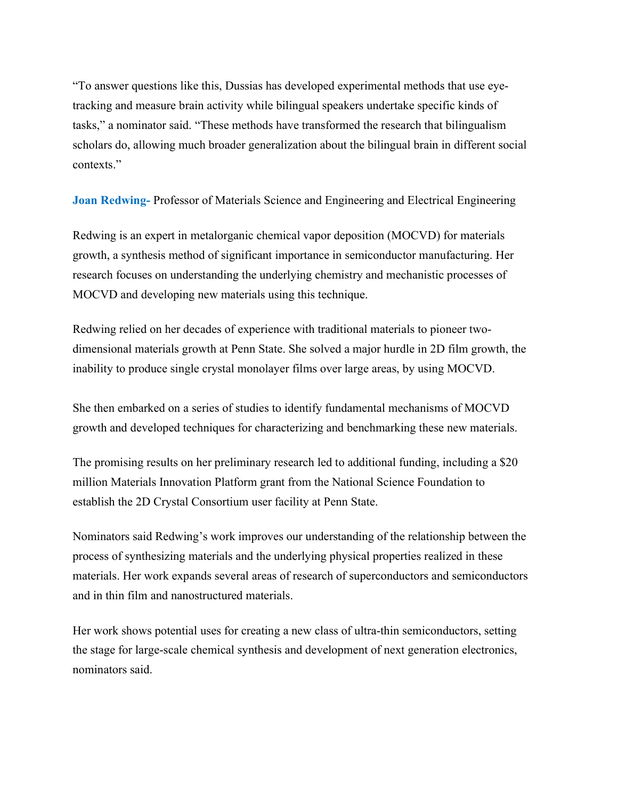"To answer questions like this, Dussias has developed experimental methods that use eyetracking and measure brain activity while bilingual speakers undertake specific kinds of tasks," a nominator said. "These methods have transformed the research that bilingualism scholars do, allowing much broader generalization about the bilingual brain in different social contexts."

Joan Redwing- Professor of Materials Science and Engineering and Electrical Engineering

Redwing is an expert in metalorganic chemical vapor deposition (MOCVD) for materials growth, a synthesis method of significant importance in semiconductor manufacturing. Her research focuses on understanding the underlying chemistry and mechanistic processes of MOCVD and developing new materials using this technique.

Redwing relied on her decades of experience with traditional materials to pioneer twodimensional materials growth at Penn State. She solved a major hurdle in 2D film growth, the inability to produce single crystal monolayer films over large areas, by using MOCVD.

She then embarked on a series of studies to identify fundamental mechanisms of MOCVD growth and developed techniques for characterizing and benchmarking these new materials.

The promising results on her preliminary research led to additional funding, including a \$20 million Materials Innovation Platform grant from the National Science Foundation to establish the 2D Crystal Consortium user facility at Penn State.

Nominators said Redwing's work improves our understanding of the relationship between the process of synthesizing materials and the underlying physical properties realized in these materials. Her work expands several areas of research of superconductors and semiconductors and in thin film and nanostructured materials.

Her work shows potential uses for creating a new class of ultra-thin semiconductors, setting the stage for large-scale chemical synthesis and development of next generation electronics, nominators said.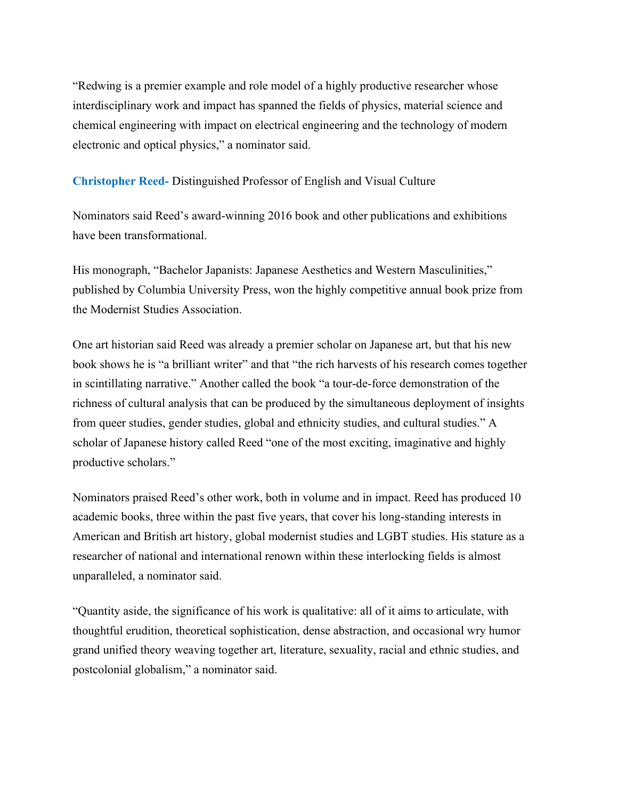"Redwing is a premier example and role model of a highly productive researcher whose interdisciplinary work and impact has spanned the fields of physics, material science and chemical engineering with impact on electrical engineering and the technology of modern electronic and optical physics," a nominator said.

Christopher Reed- Distinguished Professor of English and Visual Culture

Nominators said Reed's award-winning 2016 book and other publications and exhibitions have been transformational.

His monograph, "Bachelor Japanists: Japanese Aesthetics and Western Masculinities," published by Columbia University Press, won the highly competitive annual book prize from the Modernist Studies Association.

One art historian said Reed was already a premier scholar on Japanese art, but that his new book shows he is "a brilliant writer" and that "the rich harvests of his research comes together in scintillating narrative." Another called the book "a tour-de-force demonstration of the richness of cultural analysis that can be produced by the simultaneous deployment of insights from queer studies, gender studies, global and ethnicity studies, and cultural studies." A scholar of Japanese history called Reed "one of the most exciting, imaginative and highly productive scholars."

Nominators praised Reed's other work, both in volume and in impact. Reed has produced 10 academic books, three within the past five years, that cover his long-standing interests in American and British art history, global modernist studies and LGBT studies. His stature as a researcher of national and international renown within these interlocking fields is almost unparalleled, a nominator said.

"Quantity aside, the significance of his work is qualitative: all of it aims to articulate, with thoughtful erudition, theoretical sophistication, dense abstraction, and occasional wry humor grand unified theory weaving together art, literature, sexuality, racial and ethnic studies, and postcolonial globalism," a nominator said.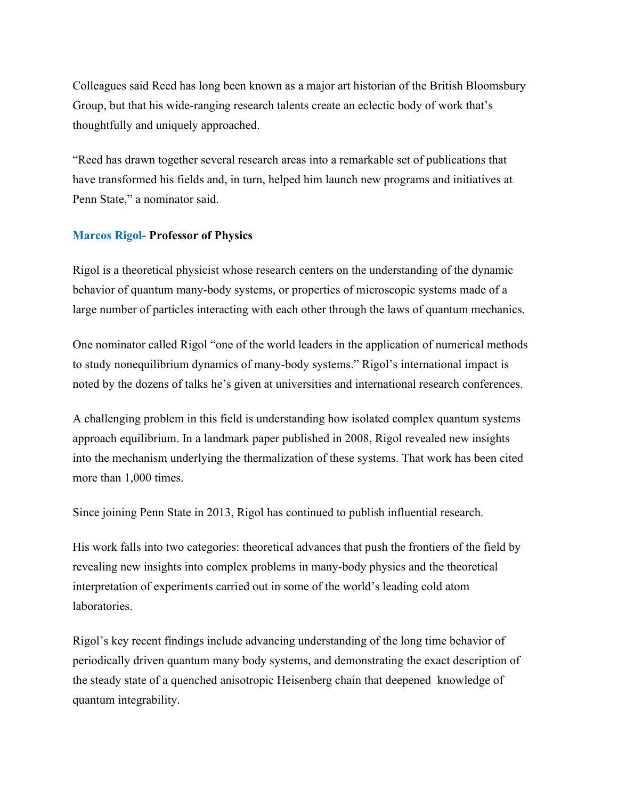Colleagues said Reed has long been known as a major art historian of the British Bloomsbury Group, but that his wide-ranging research talents create an eclectic body of work that's thoughtfully and uniquely approached.

"Reed has drawn together several research areas into a remarkable set of publications that have transformed his fields and, in turn, helped him launch new programs and initiatives at Penn State," a nominator said.

## Marcos Rigol- Professor of Physics

Rigol is a theoretical physicist whose research centers on the understanding of the dynamic behavior of quantum many-body systems, or properties of microscopic systems made of a large number of particles interacting with each other through the laws of quantum mechanics.

One nominator called Rigol "one of the world leaders in the application of numerical methods to study nonequilibrium dynamics of many-body systems." Rigol's international impact is noted by the dozens of talks he's given at universities and international research conferences.

A challenging problem in this field is understanding how isolated complex quantum systems approach equilibrium. In a landmark paper published in 2008, Rigol revealed new insights into the mechanism underlying the thermalization of these systems. That work has been cited more than 1,000 times.

Since joining Penn State in 2013, Rigol has continued to publish influential research.

His work falls into two categories: theoretical advances that push the frontiers of the field by revealing new insights into complex problems in many-body physics and the theoretical interpretation of experiments carried out in some of the world's leading cold atom laboratories.

Rigol's key recent findings include advancing understanding of the long time behavior of periodically driven quantum many body systems, and demonstrating the exact description of the steady state of a quenched anisotropic Heisenberg chain that deepened knowledge of quantum integrability.